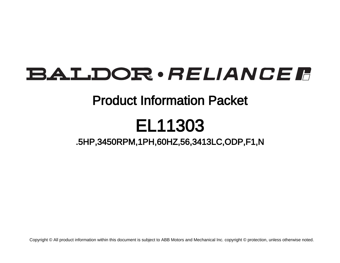## BALDOR · RELIANCE F

### Product Information Packet

# EL11303

### .5HP,3450RPM,1PH,60HZ,56,3413LC,ODP,F1,N

Copyright © All product information within this document is subject to ABB Motors and Mechanical Inc. copyright © protection, unless otherwise noted.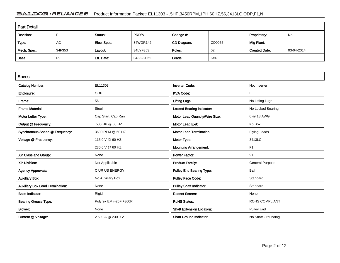#### BALDOR · RELIANCE F Product Information Packet: EL11303 - .5HP,3450RPM,1PH,60HZ,56,3413LC,ODP,F1,N

| <b>Part Detail</b> |           |             |            |             |        |                      |            |  |
|--------------------|-----------|-------------|------------|-------------|--------|----------------------|------------|--|
| Revision:          |           | Status:     | PRD/A      | Change #:   |        | Proprietary:         | No         |  |
| Type:              | AC        | Elec. Spec: | 34WGR142   | CD Diagram: | CD0055 | Mfg Plant:           |            |  |
| Mech. Spec:        | 34F353    | Layout:     | 34LYF353   | Poles:      | 02     | <b>Created Date:</b> | 03-04-2014 |  |
| Base:              | <b>RG</b> | Eff. Date:  | 04-22-2021 | Leads:      | 6#18   |                      |            |  |

| <b>Specs</b>                           |                         |                                  |                        |
|----------------------------------------|-------------------------|----------------------------------|------------------------|
| <b>Catalog Number:</b>                 | EL11303                 | <b>Inverter Code:</b>            | Not Inverter           |
| Enclosure:                             | <b>ODP</b>              | <b>KVA Code:</b>                 |                        |
| Frame:                                 | 56                      | <b>Lifting Lugs:</b>             | No Lifting Lugs        |
| <b>Frame Material:</b>                 | Steel                   | <b>Locked Bearing Indicator:</b> | No Locked Bearing      |
| Motor Letter Type:                     | Cap Start, Cap Run      | Motor Lead Quantity/Wire Size:   | 6 @ 18 AWG             |
| Output @ Frequency:                    | .500 HP @ 60 HZ         | <b>Motor Lead Exit:</b>          | Ko Box                 |
| Synchronous Speed @ Frequency:         | 3600 RPM @ 60 HZ        | <b>Motor Lead Termination:</b>   | <b>Flying Leads</b>    |
| Voltage @ Frequency:                   | 115.0 V @ 60 HZ         | Motor Type:                      | 3413LC                 |
|                                        | 230.0 V @ 60 HZ         | <b>Mounting Arrangement:</b>     | F <sub>1</sub>         |
| XP Class and Group:                    | None                    | <b>Power Factor:</b>             | 91                     |
| <b>XP Division:</b>                    | Not Applicable          | <b>Product Family:</b>           | <b>General Purpose</b> |
| <b>Agency Approvals:</b>               | <b>CURUS ENERGY</b>     | <b>Pulley End Bearing Type:</b>  | Ball                   |
| <b>Auxillary Box:</b>                  | No Auxillary Box        | <b>Pulley Face Code:</b>         | Standard               |
| <b>Auxillary Box Lead Termination:</b> | None                    | <b>Pulley Shaft Indicator:</b>   | Standard               |
| <b>Base Indicator:</b>                 | Rigid                   | <b>Rodent Screen:</b>            | None                   |
| <b>Bearing Grease Type:</b>            | Polyrex EM (-20F +300F) | <b>RoHS Status:</b>              | <b>ROHS COMPLIANT</b>  |
| Blower:                                | None                    | <b>Shaft Extension Location:</b> | <b>Pulley End</b>      |
| Current @ Voltage:                     | 2.500 A @ 230.0 V       | <b>Shaft Ground Indicator:</b>   | No Shaft Grounding     |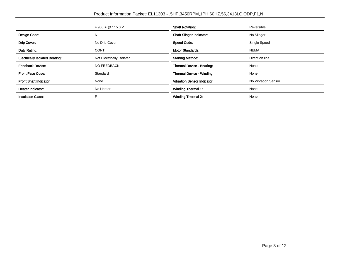|                                       | 4.900 A @ 115.0 V         | <b>Shaft Rotation:</b>             | Reversible          |
|---------------------------------------|---------------------------|------------------------------------|---------------------|
| Design Code:                          | N                         | <b>Shaft Slinger Indicator:</b>    | No Slinger          |
| Drip Cover:                           | No Drip Cover             | <b>Speed Code:</b>                 | Single Speed        |
| Duty Rating:                          | <b>CONT</b>               | <b>Motor Standards:</b>            | <b>NEMA</b>         |
| <b>Electrically Isolated Bearing:</b> | Not Electrically Isolated | <b>Starting Method:</b>            | Direct on line      |
| <b>Feedback Device:</b>               | NO FEEDBACK               | Thermal Device - Bearing:          | None                |
| <b>Front Face Code:</b>               | Standard                  | Thermal Device - Winding:          | None                |
| <b>Front Shaft Indicator:</b>         | None                      | <b>Vibration Sensor Indicator:</b> | No Vibration Sensor |
| <b>Heater Indicator:</b>              | No Heater                 | <b>Winding Thermal 1:</b>          | None                |
| <b>Insulation Class:</b>              |                           | <b>Winding Thermal 2:</b>          | None                |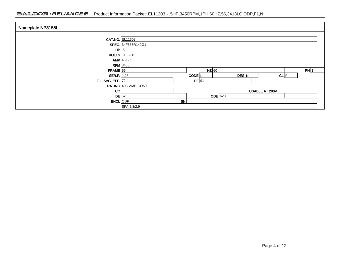#### BALDOR · RELIANCE F Product Information Packet: EL11303 - .5HP,3450RPM,1PH,60HZ,56,3413LC,ODP,F1,N

| Nameplate NP3155L          |                                              |    |                   |                 |                |      |  |
|----------------------------|----------------------------------------------|----|-------------------|-----------------|----------------|------|--|
|                            | <b>CAT.NO. EL11303</b><br>SPEC. 34F353R142G1 |    |                   |                 |                |      |  |
| $HP$ .5                    |                                              |    |                   |                 |                |      |  |
|                            | VOLTS 115/230                                |    |                   |                 |                |      |  |
|                            | AMP   4.9/2.5<br>$RPM$ 3450                  |    |                   |                 |                |      |  |
| $FRAME$ 56                 |                                              |    | $HZ$ 60           |                 |                | PH 1 |  |
| <b>SER.F.</b> $1.25$       |                                              |    | CODE <sup>L</sup> | DES N           | $CL$ $F$       |      |  |
| <b>F.L. AVG. EFF. 72.4</b> | RATING 40C AMB-CONT                          |    | $PF$ 91           |                 |                |      |  |
| cc                         |                                              |    |                   |                 | USABLE AT 208V |      |  |
|                            | <b>DE</b> 6203                               |    |                   | <b>ODE</b> 6203 |                |      |  |
| <b>ENCL</b> ODP            | SFA 5.8/2.9                                  | SN |                   |                 |                |      |  |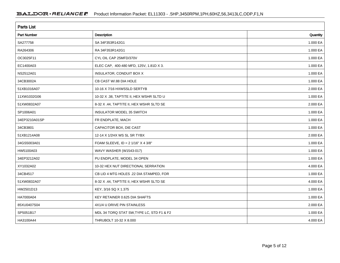| <b>Parts List</b>  |                                           |          |
|--------------------|-------------------------------------------|----------|
| <b>Part Number</b> | Description                               | Quantity |
| SA277758           | SA 34F353R142G1                           | 1.000 EA |
| RA264306           | RA 34F353R142G1                           | 1.000 EA |
| OC3025F11          | CYL OIL CAP 25MFD/370V                    | 1.000 EA |
| EC1400A03          | ELEC CAP, 400-480 MFD, 125V, 1.81D X 3.   | 1.000 EA |
| NS2512A01          | INSULATOR, CONDUIT BOX X                  | 1.000 EA |
| 34CB3002A          | CB CAST W/.88 DIA HOLE                    | 1.000 EA |
| 51XB1016A07        | 10-16 X 7/16 HXWSSLD SERTYB               | 2.000 EA |
| 11XW1032G06        | 10-32 X .38, TAPTITE II, HEX WSHR SLTD U  | 1.000 EA |
| 51XW0832A07        | 8-32 X .44, TAPTITE II, HEX WSHR SLTD SE  | 2.000 EA |
| SP1006A01          | <b>INSULATOR MODEL 35 SWITCH</b>          | 1.000 EA |
| 34EP3210A01SP      | FR ENDPLATE, MACH                         | 1.000 EA |
| 34CB3801           | CAPACITOR BOX, DIE CAST                   | 1.000 EA |
| 51XB1214A08        | 12-14 X 1/2HX WS SL SR TYBX               | 2.000 EA |
| 34GS5003A01        | FOAM SLEEVE, ID = $21/16"$ X 4 3/8"       | 1.000 EA |
| HW5100A03          | WAVY WASHER (W1543-017)                   | 1.000 EA |
| 34EP3212A02        | PU ENDPLATE, MODEL 34 OPEN                | 1.000 EA |
| XY1032A02          | 10-32 HEX NUT DIRECTIONAL SERRATION       | 4.000 EA |
| 34CB4517           | CB LID 4 MTG HOLES .22 DIA STAMPED, FOR   | 1.000 EA |
| 51XW0832A07        | 8-32 X .44, TAPTITE II, HEX WSHR SLTD SE  | 4.000 EA |
| HW2501D13          | KEY, 3/16 SQ X 1.375                      | 1.000 EA |
| HA7000A04          | KEY RETAINER 0.625 DIA SHAFTS             | 1.000 EA |
| 85XU0407S04        | 4X1/4 U DRIVE PIN STAINLESS               | 2.000 EA |
| SP5051B17          | MDL 34 TORQ STAT SW, TYPE LC, STD F1 & F2 | 1.000 EA |
| HA3100A44          | THRUBOLT 10-32 X 8.000                    | 4.000 EA |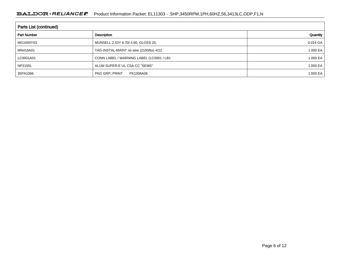| Parts List (continued) |                                          |          |  |  |  |
|------------------------|------------------------------------------|----------|--|--|--|
| <b>Part Number</b>     | Description                              | Quantity |  |  |  |
| MG1000Y03              | MUNSELL 2.53Y 6.70/ 4.60, GLOSS 20,      | 0.014 GA |  |  |  |
| MN416A01               | TAG-INSTAL-MAINT no wire (2100/bx) 4/22  | 1.000 EA |  |  |  |
| LC0001A01              | CONN LABEL / WARNING LABEL (LC0001 / LB1 | 1.000 EA |  |  |  |
| NP3155L                | ALUM SUPER-E UL CSA CC "SEMS"            | 1.000 EA |  |  |  |
| 35PA1066               | PKG GRP, PRINT<br>PK1008A06              | 1.000 EA |  |  |  |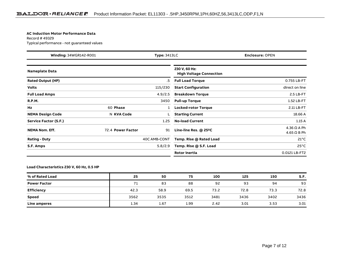#### **AC Induction Motor Performance Data**

Record # 49329Typical performance - not guaranteed values

| <b>Winding: 34WGR142-R001</b><br><b>Type: 3413LC</b> |                   |              | <b>Enclosure: OPEN</b>                          |                                          |
|------------------------------------------------------|-------------------|--------------|-------------------------------------------------|------------------------------------------|
| <b>Nameplate Data</b>                                |                   |              | 230 V, 60 Hz:<br><b>High Voltage Connection</b> |                                          |
| <b>Rated Output (HP)</b>                             |                   | .5           | <b>Full Load Torque</b>                         | 0.755 LB-FT                              |
| <b>Volts</b>                                         |                   | 115/230      | <b>Start Configuration</b>                      | direct on line                           |
| <b>Full Load Amps</b>                                |                   | 4.9/2.5      | <b>Breakdown Torque</b>                         | 2.5 LB-FT                                |
| <b>R.P.M.</b>                                        |                   | 3450         | <b>Pull-up Torque</b>                           | 1.52 LB-FT                               |
| Hz                                                   | 60 Phase          |              | <b>Locked-rotor Torque</b>                      | 2.11 LB-FT                               |
| <b>NEMA Design Code</b>                              | N KVA Code        |              | <b>Starting Current</b>                         | 18.66 A                                  |
| Service Factor (S.F.)                                |                   | 1.25         | <b>No-load Current</b>                          | 1.15A                                    |
| <b>NEMA Nom. Eff.</b>                                | 72.4 Power Factor | 91           | Line-line Res. $@$ 25 $°C$                      | $4.36 \Omega A Ph$<br>$4.65 \Omega$ B Ph |
| <b>Rating - Duty</b>                                 |                   | 40C AMB-CONT | Temp. Rise @ Rated Load                         | $21^{\circ}$ C                           |
| S.F. Amps                                            |                   | 5.8/2.9      | Temp. Rise @ S.F. Load                          | $25^{\circ}$ C                           |
|                                                      |                   |              | <b>Rotor inertia</b>                            | 0.0121 LB-FT2                            |

#### **Load Characteristics 230 V, 60 Hz, 0.5 HP**

| % of Rated Load     | 25   | 50   | 75   | 100  | 125  | 150  | S.F. |
|---------------------|------|------|------|------|------|------|------|
| <b>Power Factor</b> | 71   | 83   | 88   | 92   | 93   | 94   | 93   |
| Efficiency          | 42.3 | 58.9 | 69.5 | 73.2 | 72.8 | 73.3 | 72.8 |
| <b>Speed</b>        | 3562 | 3535 | 3512 | 3481 | 3436 | 3402 | 3436 |
| Line amperes        | 1.34 | 1.67 | 1.99 | 2.42 | 3.01 | 3.53 | 3.01 |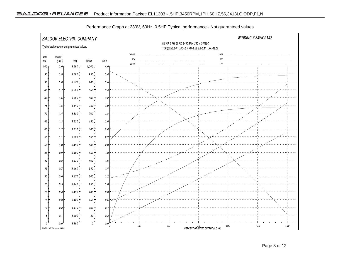

Performance Graph at 230V, 60Hz, 0.5HP Typical performance - Not guaranteed values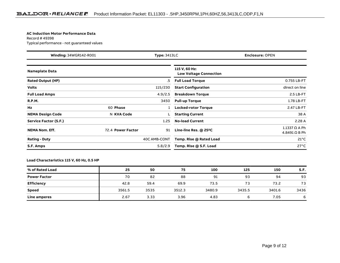#### **AC Induction Motor Performance Data**

Record # 49398Typical performance - not guaranteed values

| <b>Winding: 34WGR142-R001</b><br><b>Type: 3413LC</b> |                   |              |                                                | <b>Enclosure: OPEN</b>                       |
|------------------------------------------------------|-------------------|--------------|------------------------------------------------|----------------------------------------------|
| <b>Nameplate Data</b>                                |                   |              | 115 V, 60 Hz:<br><b>Low Voltage Connection</b> |                                              |
| <b>Rated Output (HP)</b>                             |                   | .5           | <b>Full Load Torque</b>                        | 0.755 LB-FT                                  |
| <b>Volts</b>                                         |                   | 115/230      | <b>Start Configuration</b>                     | direct on line                               |
| <b>Full Load Amps</b>                                |                   | 4.9/2.5      | <b>Breakdown Torque</b>                        | 2.5 LB-FT                                    |
| <b>R.P.M.</b>                                        |                   | 3450         | <b>Pull-up Torque</b>                          | 1.78 LB-FT                                   |
| Hz                                                   | 60 Phase          |              | <b>Locked-rotor Torque</b>                     | 2.47 LB-FT                                   |
| <b>NEMA Design Code</b>                              | N KVA Code        |              | <b>Starting Current</b>                        | 38 A                                         |
| Service Factor (S.F.)                                |                   | 1.25         | <b>No-load Current</b>                         | 2.28A                                        |
| <b>NEMA Nom. Eff.</b>                                | 72.4 Power Factor | 91           | Line-line Res. $@$ 25 $°C$                     | $1.1337 \Omega$ A Ph<br>$4.8491 \Omega B Ph$ |
| <b>Rating - Duty</b>                                 |                   | 40C AMB-CONT | Temp. Rise @ Rated Load                        | $21^{\circ}$ C                               |
| S.F. Amps                                            |                   | 5.8/2.9      | Temp. Rise @ S.F. Load                         | $27^{\circ}$ C                               |

#### **Load Characteristics 115 V, 60 Hz, 0.5 HP**

| % of Rated Load     | 25     | 50   | 75     | 100    | 125    | 150    | S.F. |
|---------------------|--------|------|--------|--------|--------|--------|------|
| <b>Power Factor</b> | 70     | 82   | 88     | 91     | 93     | 94     | 93   |
| Efficiency          | 42.8   | 59.4 | 69.9   | 73.5   | 73     | 73.2   | 73   |
| <b>Speed</b>        | 3561.5 | 3535 | 3512.3 | 3480.9 | 3435.5 | 3401.6 | 3436 |
| Line amperes        | 2.67   | 3.33 | 3.96   | 4.83   |        | 7.05   |      |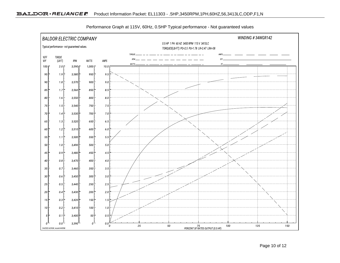

Performance Graph at 115V, 60Hz, 0.5HP Typical performance - Not guaranteed values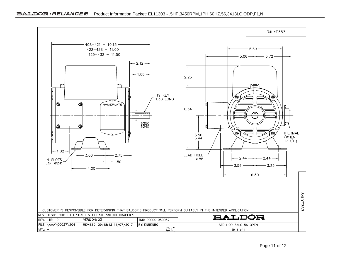